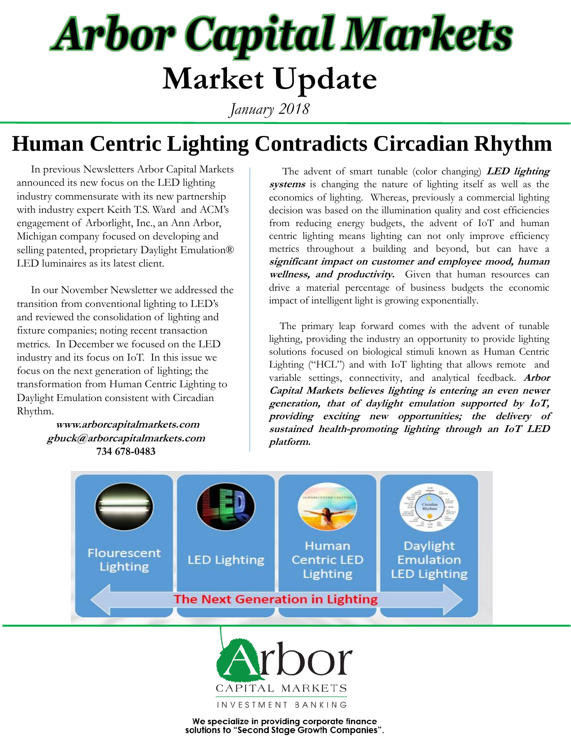# **Arbor Capital Markets Market Update**

*January 2018*

### **Human Centric Lighting Contradicts Circadian Rhythm**

 In previous Newsletters Arbor Capital Markets announced its new focus on the LED lighting industry commensurate with its new partnership with industry expert Keith T.S. Ward and ACM's engagement of Arborlight, Inc., an Ann Arbor, Michigan company focused on developing and selling patented, proprietary Daylight Emulation® LED luminaires as its latest client.

 In our November Newsletter we addressed the transition from conventional lighting to LED's and reviewed the consolidation of lighting and fixture companies; noting recent transaction metrics. In December we focused on the LED industry and its focus on IoT. In this issue we focus on the next generation of lighting; the transformation from Human Centric Lighting to Daylight Emulation consistent with Circadian Rhythm.

> **www.arborcapitalmarkets.com gbuck@arborcapitalmarkets.com 734 678-0483**

 The advent of smart tunable (color changing) **LED lighting systems** is changing the nature of lighting itself as well as the economics of lighting. Whereas, previously a commercial lighting decision was based on the illumination quality and cost efficiencies from reducing energy budgets, the advent of IoT and human centric lighting means lighting can not only improve efficiency metrics throughout a building and beyond, but can have a **significant impact on customer and employee mood, human wellness, and productivity.** Given that human resources can drive a material percentage of business budgets the economic impact of intelligent light is growing exponentially.

 The primary leap forward comes with the advent of tunable lighting, providing the industry an opportunity to provide lighting solutions focused on biological stimuli known as Human Centric Lighting ("HCL") and with IoT lighting that allows remote and variable settings, connectivity, and analytical feedback. **Arbor Capital Markets believes lighting is entering an even newer generation, that of daylight emulation supported by IoT, providing exciting new opportunities; the delivery of sustained health-promoting lighting through an IoT LED platform.**





We specialize in providing corporate finance solutions to "Second Stage Growth Companies".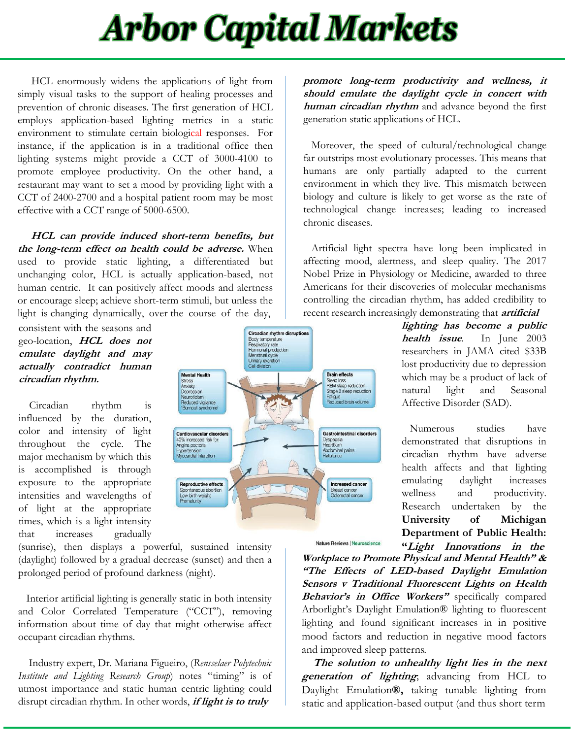## **Arbor Capital Markets**

 HCL enormously widens the applications of light from simply visual tasks to the support of healing processes and prevention of chronic diseases. The first generation of HCL employs application-based lighting metrics in a static environment to stimulate certain biological responses. For instance, if the application is in a traditional office then lighting systems might provide a CCT of 3000-4100 to promote employee productivity. On the other hand, a restaurant may want to set a mood by providing light with a CCT of 2400-2700 and a hospital patient room may be most effective with a CCT range of 5000-6500.

 **HCL can provide induced short-term benefits, but the long-term effect on health could be adverse.** When used to provide static lighting, a differentiated but unchanging color, HCL is actually application-based, not human centric. It can positively affect moods and alertness or encourage sleep; achieve short-term stimuli, but unless the light is changing dynamically, over the course of the day,

consistent with the seasons and geo-location, **HCL does not emulate daylight and may actually contradict human circadian rhythm.**

 Circadian rhythm is influenced by the duration, color and intensity of light throughout the cycle. The major mechanism by which this is accomplished is through exposure to the appropriate intensities and wavelengths of of light at the appropriate times, which is a light intensity that increases gradually

(sunrise), then displays a powerful, sustained intensity (daylight) followed by a gradual decrease (sunset) and then a prolonged period of profound darkness (night).

 Interior artificial lighting is generally static in both intensity and Color Correlated Temperature ("CCT"), removing information about time of day that might otherwise affect occupant circadian rhythms.

 Industry expert, Dr. Mariana Figueiro, (*Rensselaer Polytechnic Institute and Lighting Research Group*) notes "timing" is of utmost importance and static human centric lighting could disrupt circadian rhythm. In other words, **if light is to truly**



 Moreover, the speed of cultural/technological change far outstrips most evolutionary processes. This means that humans are only partially adapted to the current environment in which they live. This mismatch between biology and culture is likely to get worse as the rate of technological change increases; leading to increased chronic diseases.

 recent research increasingly demonstrating that **artificial** Artificial light spectra have long been implicated in affecting mood, alertness, and sleep quality. The 2017 Nobel Prize in Physiology or Medicine, awarded to three Americans for their discoveries of molecular mechanisms controlling the circadian rhythm, has added credibility to

**lighting has become <sup>a</sup> public health issue**. In June 2003 researchers in JAMA cited \$33B lost productivity due to depression which may be a product of lack of natural light and Seasonal Affective Disorder (SAD).

 Numerous studies have demonstrated that disruptions in circadian rhythm have adverse health affects and that lighting emulating daylight increases wellness and productivity. Research undertaken by the **University of Michigan Department of Public Health: "Light Innovations in the**

**Workplace to Promote Physical and Mental Health" & "The Effects of LED-based Daylight Emulation Sensors <sup>v</sup> Traditional Fluorescent Lights on Health Behavior's in Office Workers"** specifically compared Arborlight's Daylight Emulation® lighting to fluorescent lighting and found significant increases in in positive mood factors and reduction in negative mood factors and improved sleep patterns.

Nature Reviews | Neuroscience

 **The solution to unhealthy light lies in the next generation of lighting**; advancing from HCL to Daylight Emulation**®,** taking tunable lighting from static and application-based output (and thus short term

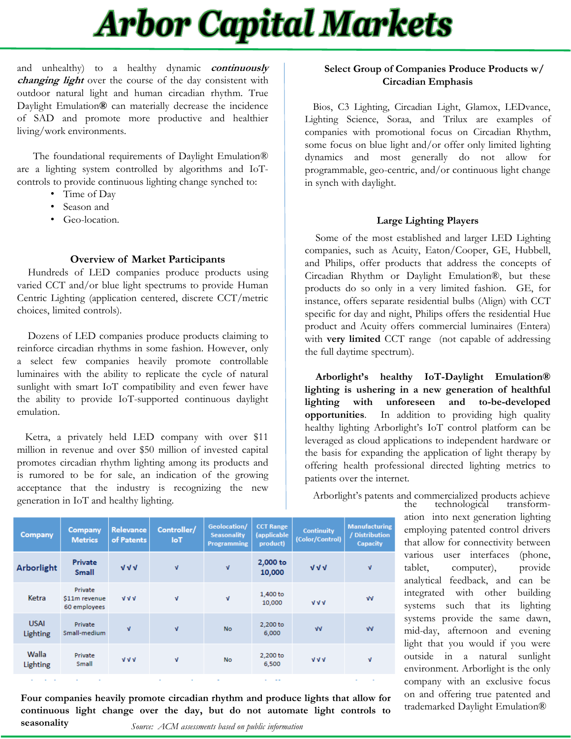### **Arbor Capital Markets**

and unhealthy) to a healthy dynamic **continuously changing light** over the course of the day consistent with outdoor natural light and human circadian rhythm. True Daylight Emulation**®** can materially decrease the incidence of SAD and promote more productive and healthier living/work environments.

 The foundational requirements of Daylight Emulation® are a lighting system controlled by algorithms and IoTcontrols to provide continuous lighting change synched to:

- Time of Day
- Season and
- Geo-location.

#### **Overview of Market Participants**

 Hundreds of LED companies produce products using varied CCT and/or blue light spectrums to provide Human Centric Lighting (application centered, discrete CCT/metric choices, limited controls).

 Dozens of LED companies produce products claiming to reinforce circadian rhythms in some fashion. However, only a select few companies heavily promote controllable luminaires with the ability to replicate the cycle of natural sunlight with smart IoT compatibility and even fewer have the ability to provide IoT-supported continuous daylight emulation.

 Ketra, a privately held LED company with over \$11 million in revenue and over \$50 million of invested capital promotes circadian rhythm lighting among its products and is rumored to be for sale, an indication of the growing acceptance that the industry is recognizing the new generation in IoT and healthy lighting.

#### **Select Group of Companies Produce Products w/ Circadian Emphasis**

 Bios, C3 Lighting, Circadian Light, Glamox, LEDvance, Lighting Science, Soraa, and Trilux are examples of companies with promotional focus on Circadian Rhythm, some focus on blue light and/or offer only limited lighting dynamics and most generally do not allow for programmable, geo-centric, and/or continuous light change in synch with daylight.

#### **Large Lighting Players**

 Some of the most established and larger LED Lighting companies, such as Acuity, Eaton/Cooper, GE, Hubbell, and Philips, offer products that address the concepts of Circadian Rhythm or Daylight Emulation®, but these products do so only in a very limited fashion. GE, for instance, offers separate residential bulbs (Align) with CCT specific for day and night, Philips offers the residential Hue product and Acuity offers commercial luminaires (Entera) with **very limited** CCT range (not capable of addressing the full daytime spectrum).

 **Arborlight's healthy IoT-Daylight Emulation® lighting is ushering in a new generation of healthful lighting with unforeseen and to-be-developed opportunities**. In addition to providing high quality healthy lighting Arborlight's IoT control platform can be leveraged as cloud applications to independent hardware or the basis for expanding the application of light therapy by offering health professional directed lighting metrics to patients over the internet.

 Arborlight's patents and commercialized products achieve technological

> ation into next generation lighting employing patented control drivers that allow for connectivity between various user interfaces (phone, tablet, computer), provide analytical feedback, and can be integrated with other building systems such that its lighting systems provide the same dawn, mid-day, afternoon and evening light that you would if you were outside in a natural sunlight environment. Arborlight is the only company with an exclusive focus on and offering true patented and trademarked Daylight Emulation®

| Company                 | Company<br><b>Metrics</b>                | <b>Relevance</b><br>of Patents | Controller/<br><b>IoT</b> | Geolocation/<br><b>Seasonality</b><br><b>Programming</b> | <b>CCT Range</b><br>(applicable<br>product) | <b>Continuity</b><br>(Color/Control) | <b>Manufacturing</b><br>/ Distribution<br><b>Capacity</b> |
|-------------------------|------------------------------------------|--------------------------------|---------------------------|----------------------------------------------------------|---------------------------------------------|--------------------------------------|-----------------------------------------------------------|
| Arborlight              | Private<br><b>Small</b>                  | $V$ $V$                        | $\mathbf{v}$              | $\mathbf{V}$                                             | 2,000 to<br>10,000                          | $\sqrt{V}$                           | v                                                         |
| Ketra                   | Private<br>\$11m revenue<br>60 employees | $V$ $V$                        | $\mathbf{V}$              | $\mathbf{v}$                                             | 1,400 to<br>10,000                          | $V$ $V$                              | $\sqrt{V}$                                                |
| <b>USAI</b><br>Lighting | Private<br>Small-medium                  | $\mathbf{V}$                   | $\mathbf{v}$              | <b>No</b>                                                | 2,200 to<br>6.000                           | $\sqrt{V}$                           | $\sqrt{V}$                                                |
| Walla<br>Lighting       | Private<br>Small                         | VVV                            | $\mathbf{V}$              | <b>No</b>                                                | 2,200 to<br>6,500                           | VVV                                  | Λ                                                         |
|                         |                                          |                                |                           |                                                          |                                             |                                      |                                                           |

**Four companies heavily promote circadian rhythm and produce lights that allow for continuous light change over the day, but do not automate light controls to seasonality**